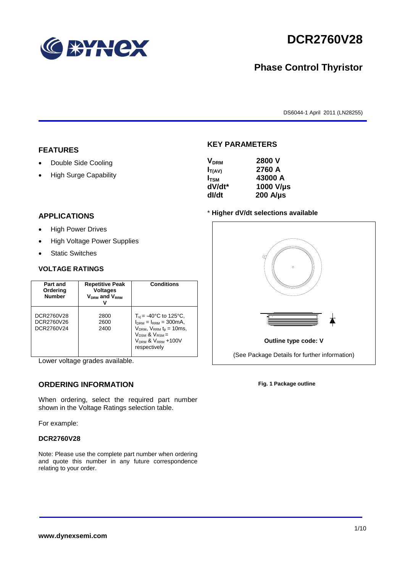

# **DCR2760V28**

## **Phase Control Thyristor**

DS6044-1 April 2011 (LN28255)

#### **FEATURES**

- Double Side Cooling
- High Surge Capability

## **VDRM 2800 V**

**KEY PARAMETERS**

| , DRM            | ----             |
|------------------|------------------|
| $I_{T(AV)}$      | 2760 A           |
| I <sub>tsm</sub> | 43000 A          |
| dV/dt*           | 1000 V/µs        |
| dl/dt            | $200$ A/ $\mu$ s |
|                  |                  |

#### **APPLICATIONS**

- High Power Drives
- High Voltage Power Supplies
- Static Switches

#### **VOLTAGE RATINGS**

| Part and<br>Ordering<br><b>Number</b>  | <b>Repetitive Peak</b><br><b>Voltages</b><br>$V_{DRM}$ and $V_{RRM}$ | <b>Conditions</b>                                                                                                                                                                                   |
|----------------------------------------|----------------------------------------------------------------------|-----------------------------------------------------------------------------------------------------------------------------------------------------------------------------------------------------|
| DCR2760V28<br>DCR2760V26<br>DCR2760V24 | 2800<br>2600<br>2400                                                 | $T_{vi}$ = -40°C to 125°C,<br>$I_{DRM} = I_{RRM} = 300 \text{mA}$ ,<br>$V_{DRM}$ , $V_{RRM}$ $t_p = 10$ ms,<br>$V_{DSM}$ & $V_{RSM}$ =<br>V <sub>DRM</sub> & V <sub>RRM</sub> +100V<br>respectively |

Lower voltage grades available.

### **ORDERING INFORMATION**

When ordering, select the required part number shown in the Voltage Ratings selection table.

For example:

#### **DCR2760V28**

Note: Please use the complete part number when ordering and quote this number in any future correspondence relating to your order.

#### \* **Higher dV/dt selections available**



**Fig. 1 Package outline**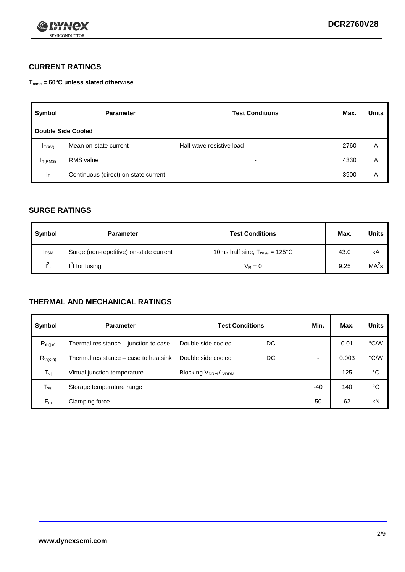

### **CURRENT RATINGS**

**Tcase = 60°C unless stated otherwise**

| Symbol             | <b>Parameter</b>                     | <b>Test Conditions</b>   | Max. | <b>Units</b> |
|--------------------|--------------------------------------|--------------------------|------|--------------|
| Double Side Cooled |                                      |                          |      |              |
| $I_{T(AV)}$        | Mean on-state current                | Half wave resistive load | 2760 | A            |
| $I_{T(RMS)}$       | RMS value                            | $\overline{\phantom{a}}$ | 4330 | Α            |
| Iт                 | Continuous (direct) on-state current | $\overline{\phantom{a}}$ | 3900 | Α            |

#### **SURGE RATINGS**

| Symbol       | <b>Parameter</b>                        | <b>Test Conditions</b>                           | Max. | <b>Units</b>      |
|--------------|-----------------------------------------|--------------------------------------------------|------|-------------------|
| <b>I</b> TSM | Surge (non-repetitive) on-state current | 10ms half sine, $T_{\text{case}} = 125^{\circ}C$ | 43.0 | kA                |
| $l^2t$       | $I2t$ for fusing                        | $V_R = 0$                                        | 9.25 | MA <sup>2</sup> s |

#### **THERMAL AND MECHANICAL RATINGS**

| Symbol           | <b>Parameter</b>                      | <b>Test Conditions</b>    |    | Min.           | Max.  | <b>Units</b> |
|------------------|---------------------------------------|---------------------------|----|----------------|-------|--------------|
| $R_{th(j-c)}$    | Thermal resistance – junction to case | Double side cooled        | DC |                | 0.01  | °C/W         |
| $R_{th(c-h)}$    | Thermal resistance – case to heatsink | Double side cooled        | DC |                | 0.003 | °C/W         |
| $T_{\nu j}$      | Virtual junction temperature          | <b>Blocking VDRM/VRRM</b> |    | $\overline{a}$ | 125   | °C           |
| $T_{\text{stg}}$ | Storage temperature range             |                           |    | $-40$          | 140   | °C           |
| $F_m$            | Clamping force                        |                           |    | 50             | 62    | kN           |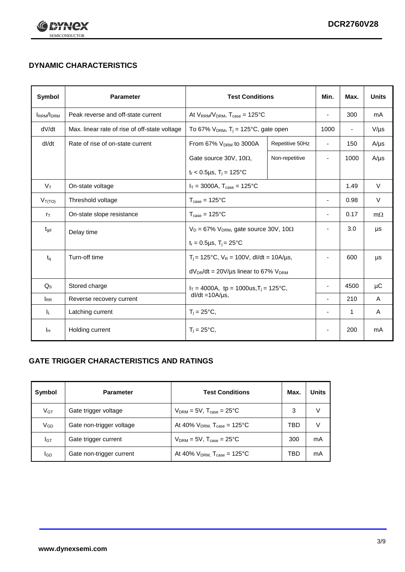

## **DYNAMIC CHARACTERISTICS**

| <b>Symbol</b>     | <b>Parameter</b>                              | <b>Test Conditions</b>                                                        |                 | Min.                     | Max.           | <b>Units</b> |
|-------------------|-----------------------------------------------|-------------------------------------------------------------------------------|-----------------|--------------------------|----------------|--------------|
| <b>IRRM</b> /IDRM | Peak reverse and off-state current            | At $V_{RRM}/V_{DRM}$ , $T_{case} = 125^{\circ}C$                              |                 | ä,                       | 300            | mA           |
| dV/dt             | Max. linear rate of rise of off-state voltage | To 67% $V_{DRM}$ , T <sub>i</sub> = 125°C, gate open                          |                 | 1000                     | $\blacksquare$ | $V/\mu s$    |
| dl/dt             | Rate of rise of on-state current              | From 67% $V_{DRM}$ to 3000A                                                   | Repetitive 50Hz | $\overline{\phantom{a}}$ | 150            | $A/\mu s$    |
|                   |                                               | Gate source 30V, 10 $\Omega$ ,                                                | Non-repetitive  | ٠                        | 1000           | $A/\mu s$    |
|                   |                                               | $t_r$ < 0.5µs, T <sub>i</sub> = 125°C                                         |                 |                          |                |              |
| $V_T$             | On-state voltage                              | $I_T = 3000A$ , $T_{case} = 125^{\circ}C$                                     |                 |                          | 1.49           | $\vee$       |
| $V_{T(TO)}$       | Threshold voltage                             | $T_{\text{case}} = 125^{\circ}C$                                              |                 | ä,                       | 0.98           | V            |
| $r_{\text{T}}$    | On-state slope resistance                     | $T_{\text{case}} = 125^{\circ}C$                                              |                 | $\overline{\phantom{a}}$ | 0.17           | $m\Omega$    |
| $t_{\rm gd}$      | Delay time                                    | $V_D = 67\%$ V <sub>DRM</sub> , gate source 30V, 10 $\Omega$                  |                 | ٠                        | 3.0            | μs           |
|                   |                                               | $t_r = 0.5 \mu s$ , $T_i = 25^{\circ}C$                                       |                 |                          |                |              |
| $t_{q}$           | Turn-off time                                 | $T_i$ = 125°C, $V_R$ = 100V, dl/dt = 10A/µs,                                  |                 |                          | 600            | μs           |
|                   |                                               | $dV_{DR}/dt = 20 V/\mu s$ linear to 67% $V_{DRM}$                             |                 |                          |                |              |
| $Q_{\rm S}$       | Stored charge                                 | $I_T = 4000A$ , tp = 1000us, T <sub>i</sub> = 125°C,<br>$dl/dt = 10A/\mu s$ , |                 |                          | 4500           | $\mu$ C      |
| $I_{RR}$          | Reverse recovery current                      |                                                                               |                 | L,                       | 210            | A            |
| JL.               | Latching current                              | $T_i = 25^{\circ}C$ ,                                                         |                 |                          | $\mathbf{1}$   | Α            |
| Iн                | Holding current                               | $T_i = 25^{\circ}C,$                                                          |                 |                          | 200            | mA           |

### **GATE TRIGGER CHARACTERISTICS AND RATINGS**

| Symbol          | <b>Parameter</b>         | <b>Test Conditions</b>                | Max. | Units |
|-----------------|--------------------------|---------------------------------------|------|-------|
| V <sub>GT</sub> | Gate trigger voltage     | $V_{DRM}$ = 5V, $T_{case}$ = 25°C     | 3    | V     |
| $V_{GD}$        | Gate non-trigger voltage | At 40% $V_{DRM}$ , $T_{case}$ = 125°C | TBD  | V     |
| Iст             | Gate trigger current     | $V_{DRM}$ = 5V, $T_{case}$ = 25°C     | 300  | mA    |
| <b>I</b> GD     | Gate non-trigger current | At 40% $V_{DRM}$ , $T_{case}$ = 125°C | TBD  | mA    |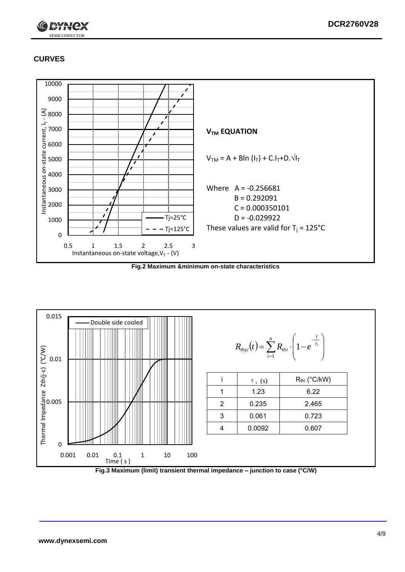

## **CURVES**



**Fig.2 Maximum &minimum on-state characteristics**



**Fig.3 Maximum (limit) transient thermal impedance – junction to case (°C/W)**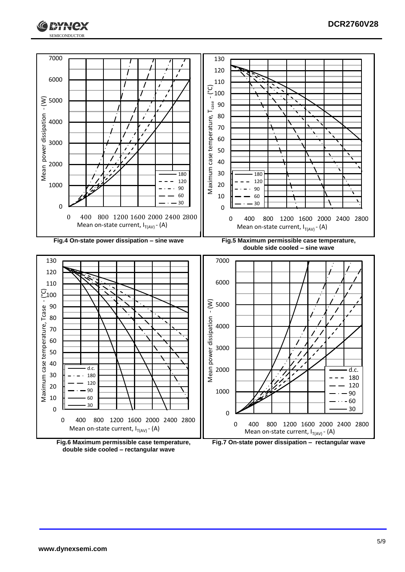



**double side cooled – rectangular wave**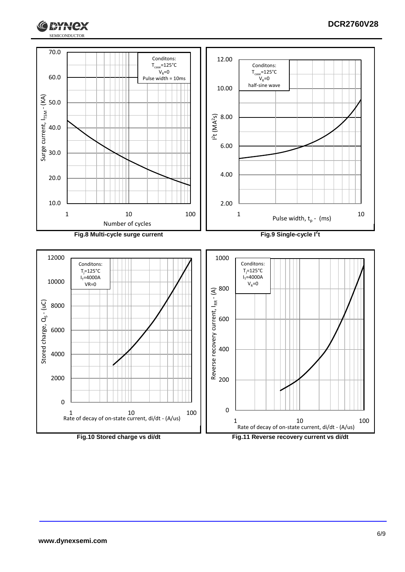

**IXYH** 

lex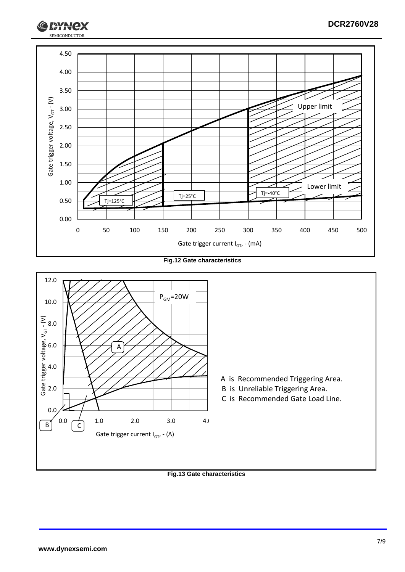

**Fig.12 Gate characteristics**



**Fig.13 Gate characteristics**

SEMICONDUCTOR

**RYH**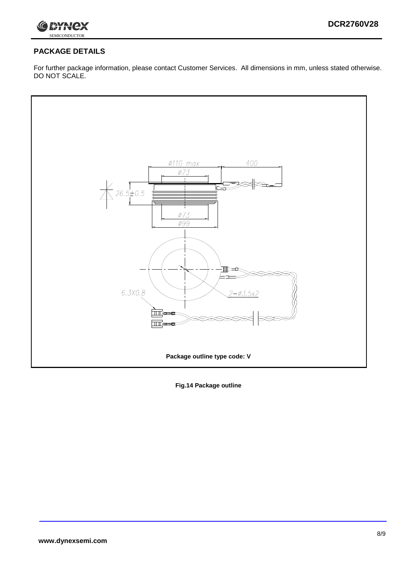

### **PACKAGE DETAILS**

For further package information, please contact Customer Services. All dimensions in mm, unless stated otherwise. DO NOT SCALE.



**Fig.14 Package outline**